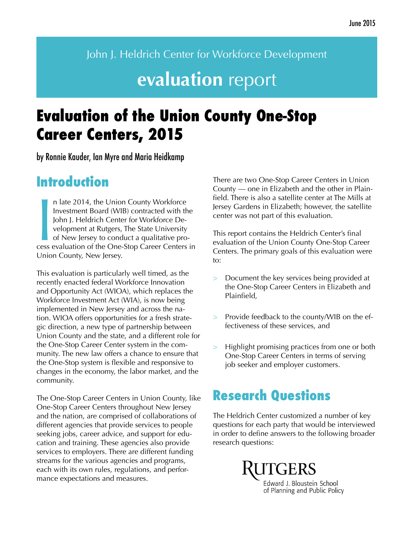John J. Heldrich Center for Workforce Development

# **evaluation** report

# **Evaluation of the Union County One-Stop Career Centers, 2015**

by Ronnie Kauder, Ian Myre and Maria Heidkamp

## **Introduction**

In late 2014, the Union County Workforce<br>Investment Board (WIB) contracted with the<br>John J. Heldrich Center for Workforce De-<br>velopment at Rutgers, The State University<br>of New Jersey to conduct a qualitative pro-<br>cess eval n late 2014, the Union County Workforce Investment Board (WIB) contracted with the John J. Heldrich Center for Workforce Development at Rutgers, The State University of New Jersey to conduct a qualitative pro-Union County, New Jersey.

This evaluation is particularly well timed, as the recently enacted federal Workforce Innovation and Opportunity Act (WIOA), which replaces the Workforce Investment Act (WIA), is now being implemented in New Jersey and across the nation. WIOA offers opportunities for a fresh strategic direction, a new type of partnership between Union County and the state, and a different role for the One-Stop Career Center system in the community. The new law offers a chance to ensure that the One-Stop system is flexible and responsive to changes in the economy, the labor market, and the community.

The One-Stop Career Centers in Union County, like One-Stop Career Centers throughout New Jersey and the nation, are comprised of collaborations of different agencies that provide services to people seeking jobs, career advice, and support for education and training. These agencies also provide services to employers. There are different funding streams for the various agencies and programs, each with its own rules, regulations, and performance expectations and measures.

There are two One-Stop Career Centers in Union County — one in Elizabeth and the other in Plainfield. There is also a satellite center at The Mills at Jersey Gardens in Elizabeth; however, the satellite center was not part of this evaluation.

This report contains the Heldrich Center's final evaluation of the Union County One-Stop Career Centers. The primary goals of this evaluation were to:

- > Document the key services being provided at the One-Stop Career Centers in Elizabeth and Plainfield,
- > Provide feedback to the county/WIB on the effectiveness of these services, and
- > Highlight promising practices from one or both One-Stop Career Centers in terms of serving job seeker and employer customers.

## **Research Questions**

The Heldrich Center customized a number of key questions for each party that would be interviewed in order to define answers to the following broader research questions:

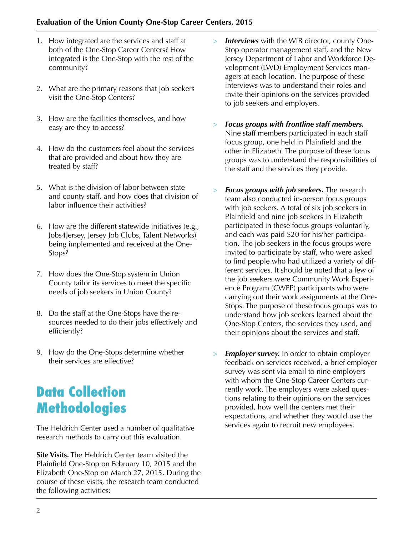- 1. How integrated are the services and staff at both of the One-Stop Career Centers? How integrated is the One-Stop with the rest of the community?
- 2. What are the primary reasons that job seekers visit the One-Stop Centers?
- 3. How are the facilities themselves, and how easy are they to access?
- 4. How do the customers feel about the services that are provided and about how they are treated by staff?
- 5. What is the division of labor between state and county staff, and how does that division of labor influence their activities?
- 6. How are the different statewide initiatives (e.g., Jobs4Jersey, Jersey Job Clubs, Talent Networks) being implemented and received at the One-Stops?
- 7. How does the One-Stop system in Union County tailor its services to meet the specific needs of job seekers in Union County?
- 8. Do the staff at the One-Stops have the resources needed to do their jobs effectively and efficiently?
- 9. How do the One-Stops determine whether their services are effective?

## **Data Collection Methodologies**

The Heldrich Center used a number of qualitative research methods to carry out this evaluation.

**Site Visits.** The Heldrich Center team visited the Plainfield One-Stop on February 10, 2015 and the Elizabeth One-Stop on March 27, 2015. During the course of these visits, the research team conducted the following activities:

- > *Interviews* with the WIB director, county One-Stop operator management staff, and the New Jersey Department of Labor and Workforce Development (LWD) Employment Services managers at each location. The purpose of these interviews was to understand their roles and invite their opinions on the services provided to job seekers and employers.
- > *Focus groups with frontline staff members.*  Nine staff members participated in each staff focus group, one held in Plainfield and the other in Elizabeth. The purpose of these focus groups was to understand the responsibilities of the staff and the services they provide.
- > *Focus groups with job seekers.* The research team also conducted in-person focus groups with job seekers. A total of six job seekers in Plainfield and nine job seekers in Elizabeth participated in these focus groups voluntarily, and each was paid \$20 for his/her participation. The job seekers in the focus groups were invited to participate by staff, who were asked to find people who had utilized a variety of different services. It should be noted that a few of the job seekers were Community Work Experience Program (CWEP) participants who were carrying out their work assignments at the One-Stops. The purpose of these focus groups was to understand how job seekers learned about the One-Stop Centers, the services they used, and their opinions about the services and staff.
- > *Employer survey.* In order to obtain employer feedback on services received, a brief employer survey was sent via email to nine employers with whom the One-Stop Career Centers currently work. The employers were asked questions relating to their opinions on the services provided, how well the centers met their expectations, and whether they would use the services again to recruit new employees.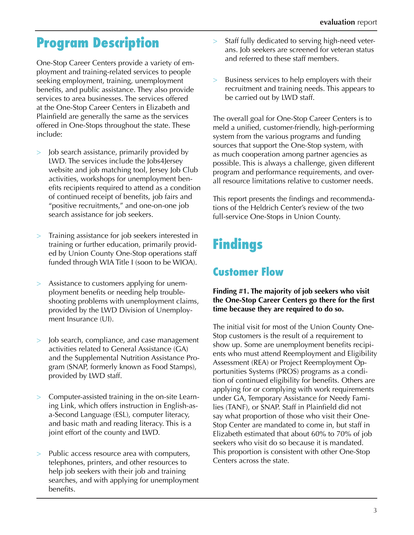## **Program Description**

One-Stop Career Centers provide a variety of employment and training-related services to people seeking employment, training, unemployment benefits, and public assistance. They also provide services to area businesses. The services offered at the One-Stop Career Centers in Elizabeth and Plainfield are generally the same as the services offered in One-Stops throughout the state. These include:

- > Job search assistance, primarily provided by LWD. The services include the Jobs4Jersey website and job matching tool, Jersey Job Club activities, workshops for unemployment benefits recipients required to attend as a condition of continued receipt of benefits, job fairs and "positive recruitments," and one-on-one job search assistance for job seekers.
- > Training assistance for job seekers interested in training or further education, primarily provided by Union County One-Stop operations staff funded through WIA Title I (soon to be WIOA).
- > Assistance to customers applying for unemployment benefits or needing help troubleshooting problems with unemployment claims, provided by the LWD Division of Unemployment Insurance (UI).
- > Job search, compliance, and case management activities related to General Assistance (GA) and the Supplemental Nutrition Assistance Program (SNAP, formerly known as Food Stamps), provided by LWD staff.
- > Computer-assisted training in the on-site Learning Link, which offers instruction in English-asa-Second Language (ESL), computer literacy, and basic math and reading literacy. This is a joint effort of the county and LWD.
- > Public access resource area with computers, telephones, printers, and other resources to help job seekers with their job and training searches, and with applying for unemployment benefits.
- > Staff fully dedicated to serving high-need veterans. Job seekers are screened for veteran status and referred to these staff members.
- > Business services to help employers with their recruitment and training needs. This appears to be carried out by LWD staff.

The overall goal for One-Stop Career Centers is to meld a unified, customer-friendly, high-performing system from the various programs and funding sources that support the One-Stop system, with as much cooperation among partner agencies as possible. This is always a challenge, given different program and performance requirements, and overall resource limitations relative to customer needs.

This report presents the findings and recommendations of the Heldrich Center's review of the two full-service One-Stops in Union County.

# **Findings**

### **Customer Flow**

#### **Finding #1. The majority of job seekers who visit the One-Stop Career Centers go there for the first time because they are required to do so.**

The initial visit for most of the Union County One-Stop customers is the result of a requirement to show up. Some are unemployment benefits recipients who must attend Reemployment and Eligibility Assessment (REA) or Project Reemployment Opportunities Systems (PROS) programs as a condition of continued eligibility for benefits. Others are applying for or complying with work requirements under GA, Temporary Assistance for Needy Families (TANF), or SNAP. Staff in Plainfield did not say what proportion of those who visit their One-Stop Center are mandated to come in, but staff in Elizabeth estimated that about 60% to 70% of job seekers who visit do so because it is mandated. This proportion is consistent with other One-Stop Centers across the state.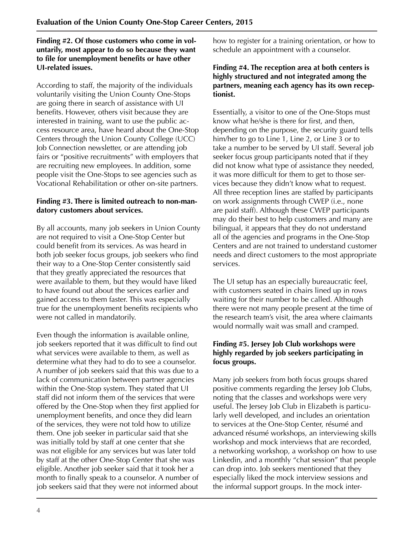**Finding #2. Of those customers who come in voluntarily, most appear to do so because they want to file for unemployment benefits or have other UI-related issues.**

According to staff, the majority of the individuals voluntarily visiting the Union County One-Stops are going there in search of assistance with UI benefits. However, others visit because they are interested in training, want to use the public access resource area, have heard about the One-Stop Centers through the Union County College (UCC) Job Connection newsletter, or are attending job fairs or "positive recruitments" with employers that are recruiting new employees. In addition, some people visit the One-Stops to see agencies such as Vocational Rehabilitation or other on-site partners.

#### **Finding #3. There is limited outreach to non-mandatory customers about services.**

By all accounts, many job seekers in Union County are not required to visit a One-Stop Center but could benefit from its services. As was heard in both job seeker focus groups, job seekers who find their way to a One-Stop Center consistently said that they greatly appreciated the resources that were available to them, but they would have liked to have found out about the services earlier and gained access to them faster. This was especially true for the unemployment benefits recipients who were not called in mandatorily.

Even though the information is available online, job seekers reported that it was difficult to find out what services were available to them, as well as determine what they had to do to see a counselor. A number of job seekers said that this was due to a lack of communication between partner agencies within the One-Stop system. They stated that UI staff did not inform them of the services that were offered by the One-Stop when they first applied for unemployment benefits, and once they did learn of the services, they were not told how to utilize them. One job seeker in particular said that she was initially told by staff at one center that she was not eligible for any services but was later told by staff at the other One-Stop Center that she was eligible. Another job seeker said that it took her a month to finally speak to a counselor. A number of job seekers said that they were not informed about

how to register for a training orientation, or how to schedule an appointment with a counselor.

#### **Finding #4. The reception area at both centers is highly structured and not integrated among the partners, meaning each agency has its own receptionist.**

Essentially, a visitor to one of the One-Stops must know what he/she is there for first, and then, depending on the purpose, the security guard tells him/her to go to Line 1, Line 2, or Line 3 or to take a number to be served by UI staff. Several job seeker focus group participants noted that if they did not know what type of assistance they needed, it was more difficult for them to get to those services because they didn't know what to request. All three reception lines are staffed by participants on work assignments through CWEP (i.e., none are paid staff). Although these CWEP participants may do their best to help customers and many are bilingual, it appears that they do not understand all of the agencies and programs in the One-Stop Centers and are not trained to understand customer needs and direct customers to the most appropriate services.

The UI setup has an especially bureaucratic feel, with customers seated in chairs lined up in rows waiting for their number to be called. Although there were not many people present at the time of the research team's visit, the area where claimants would normally wait was small and cramped.

#### **Finding #5. Jersey Job Club workshops were highly regarded by job seekers participating in focus groups.**

Many job seekers from both focus groups shared positive comments regarding the Jersey Job Clubs, noting that the classes and workshops were very useful. The Jersey Job Club in Elizabeth is particularly well developed, and includes an orientation to services at the One-Stop Center, résumé and advanced résumé workshops, an interviewing skills workshop and mock interviews that are recorded, a networking workshop, a workshop on how to use Linkedin, and a monthly "chat session" that people can drop into. Job seekers mentioned that they especially liked the mock interview sessions and the informal support groups. In the mock inter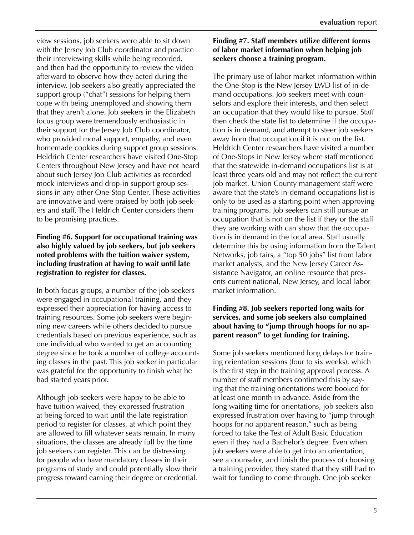view sessions, job seekers were able to sit down with the Jersey Job Club coordinator and practice their interviewing skills while being recorded, and then had the opportunity to review the video afterward to observe how they acted during the interview. Job seekers also greatly appreciated the support group ("chat") sessions for helping them cope with being unemployed and showing them that they aren't alone. Job seekers in the Elizabeth focus group were tremendously enthusiastic in their support for the Jersey Job Club coordinator, who provided moral support, empathy, and even homemade cookies during support group sessions. Heldrich Center researchers have visited One-Stop Centers throughout New Jersey and have not heard about such Jersey Job Club activities as recorded mock interviews and drop-in support group sessions in any other One-Stop Center. These activities are innovative and were praised by both job seekers and staff. The Heldrich Center considers them to be promising practices.

#### **Finding #6. Support for occupational training was also highly valued by job seekers, but job seekers noted problems with the tuition waiver system, including frustration at having to wait until late registration to register for classes.**

In both focus groups, a number of the job seekers were engaged in occupational training, and they expressed their appreciation for having access to training resources. Some job seekers were beginning new careers while others decided to pursue credentials based on previous experience, such as one individual who wanted to get an accounting degree since he took a number of college accounting classes in the past. This job seeker in particular was grateful for the opportunity to finish what he had started years prior.

Although job seekers were happy to be able to have tuition waived, they expressed frustration at being forced to wait until the late registration period to register for classes, at which point they are allowed to fill whatever seats remain. In many situations, the classes are already full by the time job seekers can register. This can be distressing for people who have mandatory classes in their programs of study and could potentially slow their progress toward earning their degree or credential.

#### **Finding #7. Staff members utilize different forms of labor market information when helping job seekers choose a training program.**

The primary use of labor market information within the One-Stop is the New Jersey LWD list of in-demand occupations. Job seekers meet with counselors and explore their interests, and then select an occupation that they would like to pursue. Staff then check the state list to determine if the occupation is in demand, and attempt to steer job seekers away from that occupation if it is not on the list. Heldrich Center researchers have visited a number of One-Stops in New Jersey where staff mentioned that the statewide in-demand occupations list is at least three years old and may not reflect the current job market. Union County management staff were aware that the state's in-demand occupations list is only to be used as a starting point when approving training programs. Job seekers can still pursue an occupation that is not on the list if they or the staff they are working with can show that the occupation is in demand in the local area. Staff usually determine this by using information from the Talent Networks, job fairs, a "top 50 jobs" list from labor market analysts, and the New Jersey Career Assistance Navigator, an online resource that presents current national, New Jersey, and local labor market information.

#### **Finding #8. Job seekers reported long waits for services, and some job seekers also complained about having to "jump through hoops for no apparent reason" to get funding for training.**

Some job seekers mentioned long delays for training orientation sessions (four to six weeks), which is the first step in the training approval process. A number of staff members confirmed this by saying that the training orientations were booked for at least one month in advance. Aside from the long waiting time for orientations, job seekers also expressed frustration over having to "jump through hoops for no apparent reason," such as being forced to take the Test of Adult Basic Education even if they had a Bachelor's degree. Even when job seekers were able to get into an orientation, see a counselor, and finish the process of choosing a training provider, they stated that they still had to wait for funding to come through. One job seeker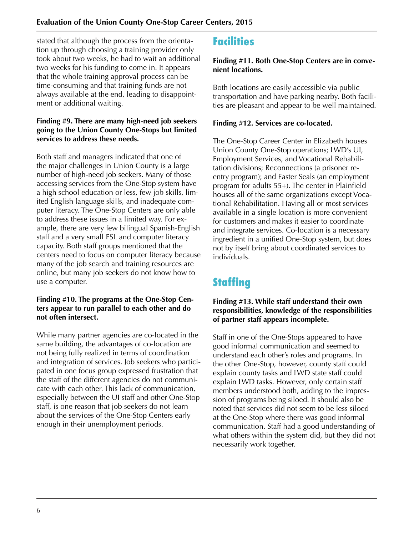stated that although the process from the orientation up through choosing a training provider only took about two weeks, he had to wait an additional two weeks for his funding to come in. It appears that the whole training approval process can be time-consuming and that training funds are not always available at the end, leading to disappointment or additional waiting.

#### **Finding #9. There are many high-need job seekers going to the Union County One-Stops but limited services to address these needs.**

Both staff and managers indicated that one of the major challenges in Union County is a large number of high-need job seekers. Many of those accessing services from the One-Stop system have a high school education or less, few job skills, limited English language skills, and inadequate computer literacy. The One-Stop Centers are only able to address these issues in a limited way. For example, there are very few bilingual Spanish-English staff and a very small ESL and computer literacy capacity. Both staff groups mentioned that the centers need to focus on computer literacy because many of the job search and training resources are online, but many job seekers do not know how to use a computer.

#### **Finding #10. The programs at the One-Stop Centers appear to run parallel to each other and do not often intersect.**

While many partner agencies are co-located in the same building, the advantages of co-location are not being fully realized in terms of coordination and integration of services. Job seekers who participated in one focus group expressed frustration that the staff of the different agencies do not communicate with each other. This lack of communication, especially between the UI staff and other One-Stop staff, is one reason that job seekers do not learn about the services of the One-Stop Centers early enough in their unemployment periods.

### **Facilities**

#### **Finding #11. Both One-Stop Centers are in convenient locations.**

Both locations are easily accessible via public transportation and have parking nearby. Both facilities are pleasant and appear to be well maintained.

#### **Finding #12. Services are co-located.**

The One-Stop Career Center in Elizabeth houses Union County One-Stop operations; LWD's UI, Employment Services, and Vocational Rehabilitation divisions; Reconnections (a prisoner reentry program); and Easter Seals (an employment program for adults 55+). The center in Plainfield houses all of the same organizations except Vocational Rehabilitation. Having all or most services available in a single location is more convenient for customers and makes it easier to coordinate and integrate services. Co-location is a necessary ingredient in a unified One-Stop system, but does not by itself bring about coordinated services to individuals.

## **Staffing**

#### **Finding #13. While staff understand their own responsibilities, knowledge of the responsibilities of partner staff appears incomplete.**

Staff in one of the One-Stops appeared to have good informal communication and seemed to understand each other's roles and programs. In the other One-Stop, however, county staff could explain county tasks and LWD state staff could explain LWD tasks. However, only certain staff members understood both, adding to the impression of programs being siloed. It should also be noted that services did not seem to be less siloed at the One-Stop where there was good informal communication. Staff had a good understanding of what others within the system did, but they did not necessarily work together.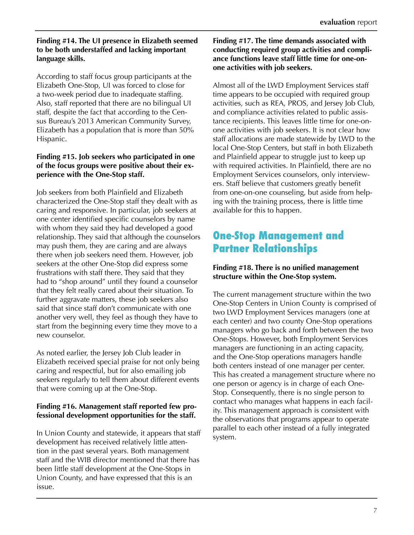#### **Finding #14. The UI presence in Elizabeth seemed to be both understaffed and lacking important language skills.**

According to staff focus group participants at the Elizabeth One-Stop, UI was forced to close for a two-week period due to inadequate staffing. Also, staff reported that there are no bilingual UI staff, despite the fact that according to the Census Bureau's 2013 American Community Survey, Elizabeth has a population that is more than 50% Hispanic.

#### **Finding #15. Job seekers who participated in one of the focus groups were positive about their experience with the One-Stop staff.**

Job seekers from both Plainfield and Elizabeth characterized the One-Stop staff they dealt with as caring and responsive. In particular, job seekers at one center identified specific counselors by name with whom they said they had developed a good relationship. They said that although the counselors may push them, they are caring and are always there when job seekers need them. However, job seekers at the other One-Stop did express some frustrations with staff there. They said that they had to "shop around" until they found a counselor that they felt really cared about their situation. To further aggravate matters, these job seekers also said that since staff don't communicate with one another very well, they feel as though they have to start from the beginning every time they move to a new counselor.

As noted earlier, the Jersey Job Club leader in Elizabeth received special praise for not only being caring and respectful, but for also emailing job seekers regularly to tell them about different events that were coming up at the One-Stop.

#### **Finding #16. Management staff reported few professional development opportunities for the staff.**

In Union County and statewide, it appears that staff development has received relatively little attention in the past several years. Both management staff and the WIB director mentioned that there has been little staff development at the One-Stops in Union County, and have expressed that this is an issue.

#### **Finding #17. The time demands associated with conducting required group activities and compliance functions leave staff little time for one-onone activities with job seekers.**

Almost all of the LWD Employment Services staff time appears to be occupied with required group activities, such as REA, PROS, and Jersey Job Club, and compliance activities related to public assistance recipients. This leaves little time for one-onone activities with job seekers. It is not clear how staff allocations are made statewide by LWD to the local One-Stop Centers, but staff in both Elizabeth and Plainfield appear to struggle just to keep up with required activities. In Plainfield, there are no Employment Services counselors, only interviewers. Staff believe that customers greatly benefit from one-on-one counseling, but aside from helping with the training process, there is little time available for this to happen.

### **One-Stop Management and Partner Relationships**

#### **Finding #18. There is no unified management structure within the One-Stop system.**

The current management structure within the two One-Stop Centers in Union County is comprised of two LWD Employment Services managers (one at each center) and two county One-Stop operations managers who go back and forth between the two One-Stops. However, both Employment Services managers are functioning in an acting capacity, and the One-Stop operations managers handle both centers instead of one manager per center. This has created a management structure where no one person or agency is in charge of each One-Stop. Consequently, there is no single person to contact who manages what happens in each facility. This management approach is consistent with the observations that programs appear to operate parallel to each other instead of a fully integrated system.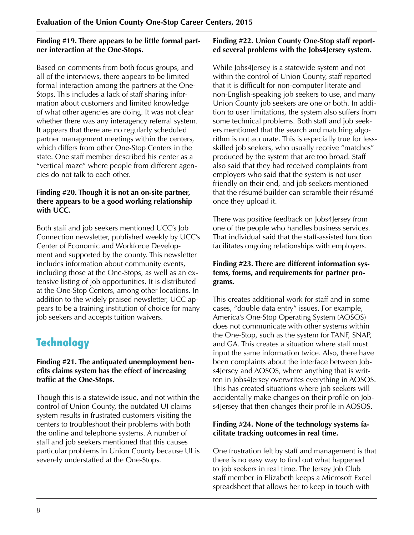#### **Finding #19. There appears to be little formal partner interaction at the One-Stops.**

Based on comments from both focus groups, and all of the interviews, there appears to be limited formal interaction among the partners at the One-Stops. This includes a lack of staff sharing information about customers and limited knowledge of what other agencies are doing. It was not clear whether there was any interagency referral system. It appears that there are no regularly scheduled partner management meetings within the centers, which differs from other One-Stop Centers in the state. One staff member described his center as a "vertical maze" where people from different agencies do not talk to each other.

#### **Finding #20. Though it is not an on-site partner, there appears to be a good working relationship with UCC.**

Both staff and job seekers mentioned UCC's Job Connection newsletter, published weekly by UCC's Center of Economic and Workforce Development and supported by the county. This newsletter includes information about community events, including those at the One-Stops, as well as an extensive listing of job opportunities. It is distributed at the One-Stop Centers, among other locations. In addition to the widely praised newsletter, UCC appears to be a training institution of choice for many job seekers and accepts tuition waivers.

## **Technology**

#### **Finding #21. The antiquated unemployment benefits claims system has the effect of increasing traffic at the One-Stops.**

Though this is a statewide issue, and not within the control of Union County, the outdated UI claims system results in frustrated customers visiting the centers to troubleshoot their problems with both the online and telephone systems. A number of staff and job seekers mentioned that this causes particular problems in Union County because UI is severely understaffed at the One-Stops.

#### **Finding #22. Union County One-Stop staff reported several problems with the Jobs4Jersey system.**

While Jobs4Jersey is a statewide system and not within the control of Union County, staff reported that it is difficult for non-computer literate and non-English-speaking job seekers to use, and many Union County job seekers are one or both. In addition to user limitations, the system also suffers from some technical problems. Both staff and job seekers mentioned that the search and matching algorithm is not accurate. This is especially true for lessskilled job seekers, who usually receive "matches" produced by the system that are too broad. Staff also said that they had received complaints from employers who said that the system is not user friendly on their end, and job seekers mentioned that the résumé builder can scramble their résumé once they upload it.

There was positive feedback on Jobs4Jersey from one of the people who handles business services. That individual said that the staff-assisted function facilitates ongoing relationships with employers.

#### **Finding #23. There are different information systems, forms, and requirements for partner programs.**

This creates additional work for staff and in some cases, "double data entry" issues. For example, America's One-Stop Operating System (AOSOS) does not communicate with other systems within the One-Stop, such as the system for TANF, SNAP, and GA. This creates a situation where staff must input the same information twice. Also, there have been complaints about the interface between Jobs4Jersey and AOSOS, where anything that is written in Jobs4Jersey overwrites everything in AOSOS. This has created situations where job seekers will accidentally make changes on their profile on Jobs4Jersey that then changes their profile in AOSOS.

#### **Finding #24. None of the technology systems facilitate tracking outcomes in real time.**

One frustration felt by staff and management is that there is no easy way to find out what happened to job seekers in real time. The Jersey Job Club staff member in Elizabeth keeps a Microsoft Excel spreadsheet that allows her to keep in touch with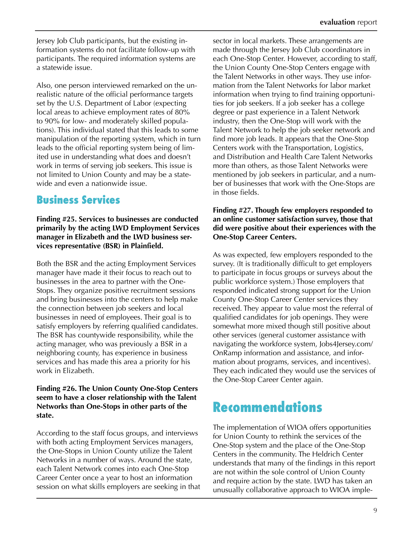Jersey Job Club participants, but the existing information systems do not facilitate follow-up with participants. The required information systems are a statewide issue.

Also, one person interviewed remarked on the unrealistic nature of the official performance targets set by the U.S. Department of Labor (expecting local areas to achieve employment rates of 80% to 90% for low- and moderately skilled populations). This individual stated that this leads to some manipulation of the reporting system, which in turn leads to the official reporting system being of limited use in understanding what does and doesn't work in terms of serving job seekers. This issue is not limited to Union County and may be a statewide and even a nationwide issue.

### **Business Services**

**Finding #25. Services to businesses are conducted primarily by the acting LWD Employment Services manager in Elizabeth and the LWD business services representative (BSR) in Plainfield.** 

Both the BSR and the acting Employment Services manager have made it their focus to reach out to businesses in the area to partner with the One-Stops. They organize positive recruitment sessions and bring businesses into the centers to help make the connection between job seekers and local businesses in need of employees. Their goal is to satisfy employers by referring qualified candidates. The BSR has countywide responsibility, while the acting manager, who was previously a BSR in a neighboring county, has experience in business services and has made this area a priority for his work in Elizabeth.

#### **Finding #26. The Union County One-Stop Centers seem to have a closer relationship with the Talent Networks than One-Stops in other parts of the state.**

According to the staff focus groups, and interviews with both acting Employment Services managers, the One-Stops in Union County utilize the Talent Networks in a number of ways. Around the state, each Talent Network comes into each One-Stop Career Center once a year to host an information session on what skills employers are seeking in that sector in local markets. These arrangements are made through the Jersey Job Club coordinators in each One-Stop Center. However, according to staff, the Union County One-Stop Centers engage with the Talent Networks in other ways. They use information from the Talent Networks for labor market information when trying to find training opportunities for job seekers. If a job seeker has a college degree or past experience in a Talent Network industry, then the One-Stop will work with the Talent Network to help the job seeker network and find more job leads. It appears that the One-Stop Centers work with the Transportation, Logistics, and Distribution and Health Care Talent Networks more than others, as those Talent Networks were mentioned by job seekers in particular, and a number of businesses that work with the One-Stops are in those fields.

#### **Finding #27. Though few employers responded to an online customer satisfaction survey, those that did were positive about their experiences with the One-Stop Career Centers.**

As was expected, few employers responded to the survey. (It is traditionally difficult to get employers to participate in focus groups or surveys about the public workforce system.) Those employers that responded indicated strong support for the Union County One-Stop Career Center services they received. They appear to value most the referral of qualified candidates for job openings. They were somewhat more mixed though still positive about other services (general customer assistance with navigating the workforce system, Jobs4Jersey.com/ OnRamp information and assistance, and information about programs, services, and incentives). They each indicated they would use the services of the One-Stop Career Center again.

## **Recommendations**

The implementation of WIOA offers opportunities for Union County to rethink the services of the One-Stop system and the place of the One-Stop Centers in the community. The Heldrich Center understands that many of the findings in this report are not within the sole control of Union County and require action by the state. LWD has taken an unusually collaborative approach to WIOA imple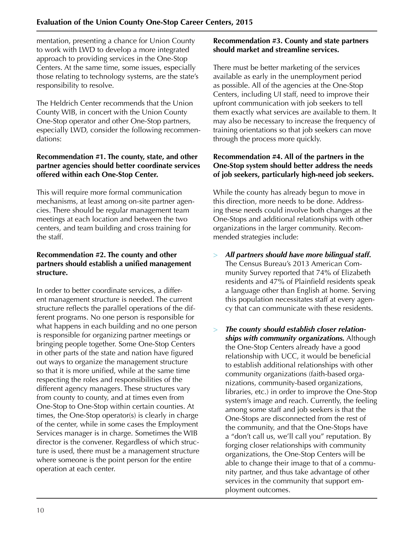mentation, presenting a chance for Union County to work with LWD to develop a more integrated approach to providing services in the One-Stop Centers. At the same time, some issues, especially those relating to technology systems, are the state's responsibility to resolve.

The Heldrich Center recommends that the Union County WIB, in concert with the Union County One-Stop operator and other One-Stop partners, especially LWD, consider the following recommendations:

#### **Recommendation #1. The county, state, and other partner agencies should better coordinate services offered within each One-Stop Center.**

This will require more formal communication mechanisms, at least among on-site partner agencies. There should be regular management team meetings at each location and between the two centers, and team building and cross training for the staff.

#### **Recommendation #2. The county and other partners should establish a unified management structure.**

In order to better coordinate services, a different management structure is needed. The current structure reflects the parallel operations of the different programs. No one person is responsible for what happens in each building and no one person is responsible for organizing partner meetings or bringing people together. Some One-Stop Centers in other parts of the state and nation have figured out ways to organize the management structure so that it is more unified, while at the same time respecting the roles and responsibilities of the different agency managers. These structures vary from county to county, and at times even from One-Stop to One-Stop within certain counties. At times, the One-Stop operator(s) is clearly in charge of the center, while in some cases the Employment Services manager is in charge. Sometimes the WIB director is the convener. Regardless of which structure is used, there must be a management structure where someone is the point person for the entire operation at each center.

#### **Recommendation #3. County and state partners should market and streamline services.**

There must be better marketing of the services available as early in the unemployment period as possible. All of the agencies at the One-Stop Centers, including UI staff, need to improve their upfront communication with job seekers to tell them exactly what services are available to them. It may also be necessary to increase the frequency of training orientations so that job seekers can move through the process more quickly.

#### **Recommendation #4. All of the partners in the One-Stop system should better address the needs of job seekers, particularly high-need job seekers.**

While the county has already begun to move in this direction, more needs to be done. Addressing these needs could involve both changes at the One-Stops and additional relationships with other organizations in the larger community. Recommended strategies include:

- > *All partners should have more bilingual staff.*  The Census Bureau's 2013 American Community Survey reported that 74% of Elizabeth residents and 47% of Plainfield residents speak a language other than English at home. Serving this population necessitates staff at every agency that can communicate with these residents.
- > *The county should establish closer relationships with community organizations.* Although the One-Stop Centers already have a good relationship with UCC, it would be beneficial to establish additional relationships with other community organizations (faith-based organizations, community-based organizations, libraries, etc.) in order to improve the One-Stop system's image and reach. Currently, the feeling among some staff and job seekers is that the One-Stops are disconnected from the rest of the community, and that the One-Stops have a "don't call us, we'll call you" reputation. By forging closer relationships with community organizations, the One-Stop Centers will be able to change their image to that of a community partner, and thus take advantage of other services in the community that support employment outcomes.